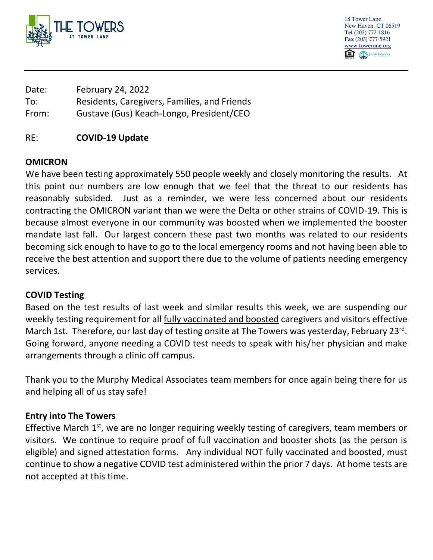

18 Tower Lane New Haven, CT 06519 Tel (203) 772-1816 Fax (203) 777-5921 [www.towerone.org](http://www.towerone.org/) `≘ Jewish Federation

| Date: | February 24, 2022                            |
|-------|----------------------------------------------|
| To:   | Residents, Caregivers, Families, and Friends |
| From: | Gustave (Gus) Keach-Longo, President/CEO     |

#### RE: **COVID-19 Update**

### **OMICRON**

We have been testing approximately 550 people weekly and closely monitoring the results. At this point our numbers are low enough that we feel that the threat to our residents has reasonably subsided. Just as a reminder, we were less concerned about our residents contracting the OMICRON variant than we were the Delta or other strains of COVID-19. This is because almost everyone in our community was boosted when we implemented the booster mandate last fall. Our largest concern these past two months was related to our residents becoming sick enough to have to go to the local emergency rooms and not having been able to receive the best attention and support there due to the volume of patients needing emergency services.

### **COVID Testing**

Based on the test results of last week and similar results this week, we are suspending our weekly testing requirement for all fully vaccinated and boosted caregivers and visitors effective March 1st. Therefore, our last day of testing onsite at The Towers was yesterday, February 23<sup>rd</sup>. Going forward, anyone needing a COVID test needs to speak with his/her physician and make arrangements through a clinic off campus.

Thank you to the Murphy Medical Associates team members for once again being there for us and helping all of us stay safe!

### **Entry into The Towers**

Effective March 1<sup>st</sup>, we are no longer requiring weekly testing of caregivers, team members or visitors. We continue to require proof of full vaccination and booster shots (as the person is eligible) and signed attestation forms. Any individual NOT fully vaccinated and boosted, must continue to show a negative COVID test administered within the prior 7 days. At home tests are not accepted at this time.